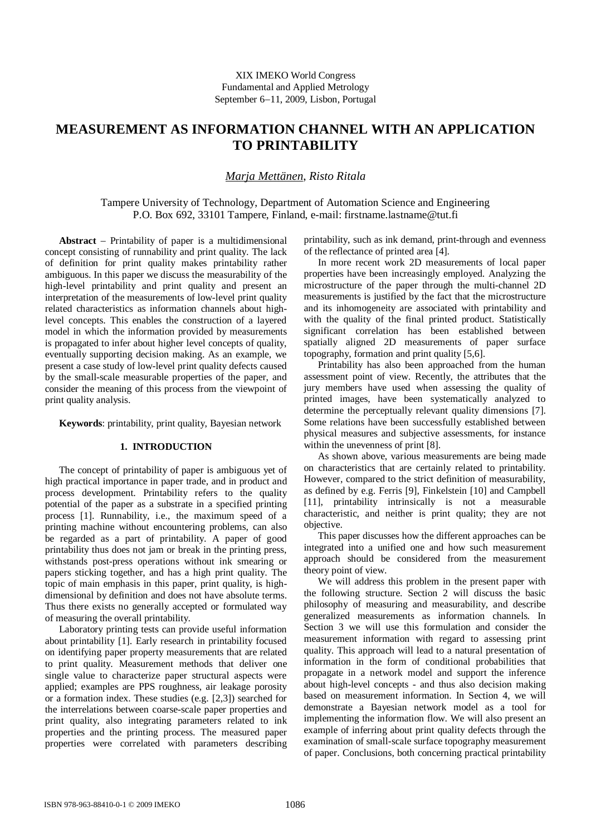# **MEASUREMENT AS INFORMATION CHANNEL WITH AN APPLICATION TO PRINTABILITY**

## *Marja Mettänen*, *Risto Ritala*

Tampere University of Technology, Department of Automation Science and Engineering P.O. Box 692, 33101 Tampere, Finland, e-mail: [firstname.lastname@tut.fi](mailto:firstname.lastname:@tut.fi)

Abstract – Printability of paper is a multidimensional concept consisting of runnability and print quality. The lack of definition for print quality makes printability rather ambiguous. In this paper we discuss the measurability of the high-level printability and print quality and present an interpretation of the measurements of low-level print quality related characteristics as information channels about highlevel concepts. This enables the construction of a layered model in which the information provided by measurements is propagated to infer about higher level concepts of quality, eventually supporting decision making. As an example, we present a case study of low-level print quality defects caused by the small-scale measurable properties of the paper, and consider the meaning of this process from the viewpoint of print quality analysis.

**Keywords**: printability, print quality, Bayesian network

## **1. INTRODUCTION**

The concept of printability of paper is ambiguous yet of high practical importance in paper trade, and in product and process development. Printability refers to the quality potential of the paper as a substrate in a specified printing process [1]. Runnability, i.e., the maximum speed of a printing machine without encountering problems, can also be regarded as a part of printability. A paper of good printability thus does not jam or break in the printing press, withstands post-press operations without ink smearing or papers sticking together, and has a high print quality. The topic of main emphasis in this paper, print quality, is highdimensional by definition and does not have absolute terms. Thus there exists no generally accepted or formulated way of measuring the overall printability.

Laboratory printing tests can provide useful information about printability [1]. Early research in printability focused on identifying paper property measurements that are related to print quality. Measurement methods that deliver one single value to characterize paper structural aspects were applied; examples are PPS roughness, air leakage porosity or a formation index. These studies (e.g. [2,3]) searched for the interrelations between coarse-scale paper properties and print quality, also integrating parameters related to ink properties and the printing process. The measured paper properties were correlated with parameters describing printability, such as ink demand, print-through and evenness of the reflectance of printed area [4].

In more recent work 2D measurements of local paper properties have been increasingly employed. Analyzing the microstructure of the paper through the multi-channel 2D measurements is justified by the fact that the microstructure and its inhomogeneity are associated with printability and with the quality of the final printed product. Statistically significant correlation has been established between spatially aligned 2D measurements of paper surface topography, formation and print quality [5,6].

Printability has also been approached from the human assessment point of view. Recently, the attributes that the jury members have used when assessing the quality of printed images, have been systematically analyzed to determine the perceptually relevant quality dimensions [7]. Some relations have been successfully established between physical measures and subjective assessments, for instance within the unevenness of print [8].

As shown above, various measurements are being made on characteristics that are certainly related to printability. However, compared to the strict definition of measurability, as defined by e.g. Ferris [9], Finkelstein [10] and Campbell [11], printability intrinsically is not a measurable characteristic, and neither is print quality; they are not objective.

This paper discusses how the different approaches can be integrated into a unified one and how such measurement approach should be considered from the measurement theory point of view.

We will address this problem in the present paper with the following structure. Section 2 will discuss the basic philosophy of measuring and measurability, and describe generalized measurements as information channels. In Section 3 we will use this formulation and consider the measurement information with regard to assessing print quality. This approach will lead to a natural presentation of information in the form of conditional probabilities that propagate in a network model and support the inference about high-level concepts - and thus also decision making based on measurement information. In Section 4, we will demonstrate a Bayesian network model as a tool for implementing the information flow. We will also present an example of inferring about print quality defects through the examination of small-scale surface topography measurement of paper. Conclusions, both concerning practical printability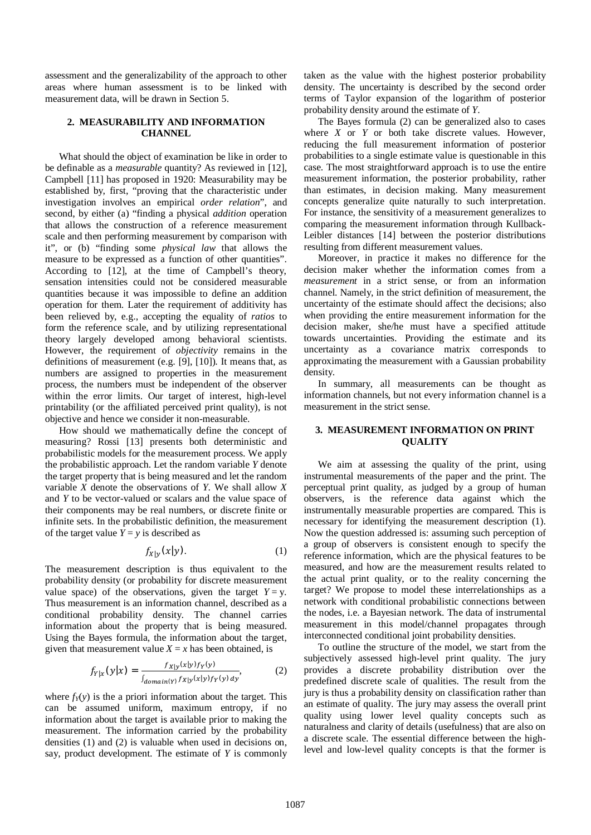assessment and the generalizability of the approach to other areas where human assessment is to be linked with measurement data, will be drawn in Section 5.

#### **2. MEASURABILITY AND INFORMATION CHANNEL**

What should the object of examination be like in order to be definable as a *measurable* quantity? As reviewed in [12], Campbell [11] has proposed in 1920: Measurability may be established by, first, "proving that the characteristic under investigation involves an empirical *order relation*", and second, by either (a) "finding a physical *addition* operation that allows the construction of a reference measurement scale and then performing measurement by comparison with it", or (b) "finding some *physical law* that allows the measure to be expressed as a function of other quantities". According to [12], at the time of Campbell's theory, sensation intensities could not be considered measurable quantities because it was impossible to define an addition operation for them. Later the requirement of additivity has been relieved by, e.g., accepting the equality of *ratios* to form the reference scale, and by utilizing representational theory largely developed among behavioral scientists. However, the requirement of *objectivity* remains in the definitions of measurement (e.g. [9], [10]). It means that, as numbers are assigned to properties in the measurement process, the numbers must be independent of the observer within the error limits. Our target of interest, high-level printability (or the affiliated perceived print quality), is not objective and hence we consider it non-measurable.

How should we mathematically define the concept of measuring? Rossi [13] presents both deterministic and probabilistic models for the measurement process. We apply the probabilistic approach. Let the random variable *Y* denote the target property that is being measured and let the random variable *X* denote the observations of *Y*. We shall allow *X* and *Y* to be vector-valued or scalars and the value space of their components may be real numbers, or discrete finite or infinite sets. In the probabilistic definition, the measurement of the target value  $Y = y$  is described as

$$
f_{X|Y}(\mathbf{x}|y). \tag{1}
$$

The measurement description is thus equivalent to the probability density (or probability for discrete measurement value space) of the observations, given the target  $Y = y$ . Thus measurement is an information channel, described as a conditional probability density. The channel carries information about the property that is being measured. Using the Bayes formula, the information about the target, given that measurement value  $X = x$  has been obtained, is

$$
f_{Y|x}(\mathbf{y}|\mathbf{x}) = \frac{f_{X|Y}(\mathbf{x}|\mathbf{y})f_Y(\mathbf{y})}{\int_{domain(\mathbf{y})} f_{X|Y}(\mathbf{x}|\mathbf{y})f_Y(\mathbf{y}) dy},
$$
 (2)

where  $f_Y(y)$  is the a priori information about the target. This can be assumed uniform, maximum entropy, if no information about the target is available prior to making the measurement. The information carried by the probability densities (1) and (2) is valuable when used in decisions on, say, product development. The estimate of *Y* is commonly taken as the value with the highest posterior probability density. The uncertainty is described by the second order terms of Taylor expansion of the logarithm of posterior probability density around the estimate of *Y*.

The Bayes formula (2) can be generalized also to cases where *X* or *Y* or both take discrete values. However, reducing the full measurement information of posterior probabilities to a single estimate value is questionable in this case. The most straightforward approach is to use the entire measurement information, the posterior probability, rather than estimates, in decision making. Many measurement concepts generalize quite naturally to such interpretation. For instance, the sensitivity of a measurement generalizes to comparing the measurement information through Kullback-Leibler distances [14] between the posterior distributions resulting from different measurement values.

Moreover, in practice it makes no difference for the decision maker whether the information comes from a *measurement* in a strict sense, or from an information channel. Namely, in the strict definition of measurement, the uncertainty of the estimate should affect the decisions; also when providing the entire measurement information for the decision maker, she/he must have a specified attitude towards uncertainties. Providing the estimate and its uncertainty as a covariance matrix corresponds to approximating the measurement with a Gaussian probability density.

In summary, all measurements can be thought as information channels, but not every information channel is a measurement in the strict sense.

### **3. MEASUREMENT INFORMATION ON PRINT QUALITY**

We aim at assessing the quality of the print, using instrumental measurements of the paper and the print. The perceptual print quality, as judged by a group of human observers, is the reference data against which the instrumentally measurable properties are compared. This is necessary for identifying the measurement description (1). Now the question addressed is: assuming such perception of a group of observers is consistent enough to specify the reference information, which are the physical features to be measured, and how are the measurement results related to the actual print quality, or to the reality concerning the target? We propose to model these interrelationships as a network with conditional probabilistic connections between the nodes, i.e. a Bayesian network. The data of instrumental measurement in this model/channel propagates through interconnected conditional joint probability densities.

To outline the structure of the model, we start from the subjectively assessed high-level print quality. The jury provides a discrete probability distribution over the predefined discrete scale of qualities. The result from the jury is thus a probability density on classification rather than an estimate of quality. The jury may assess the overall print quality using lower level quality concepts such as naturalness and clarity of details (usefulness) that are also on a discrete scale. The essential difference between the highlevel and low-level quality concepts is that the former is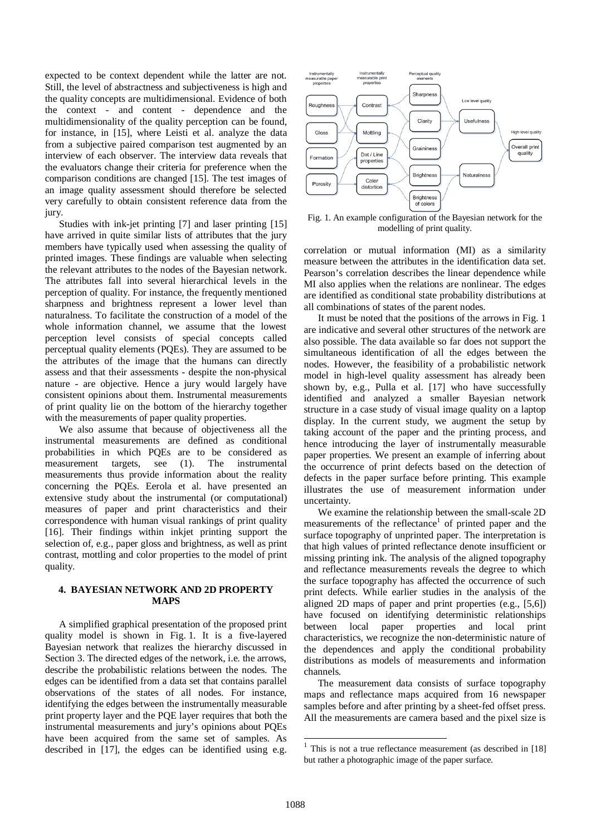expected to be context dependent while the latter are not. Still, the level of abstractness and subjectiveness is high and the quality concepts are multidimensional. Evidence of both the context - and content - dependence and the multidimensionality of the quality perception can be found, for instance, in [15], where Leisti et al. analyze the data from a subjective paired comparison test augmented by an interview of each observer. The interview data reveals that the evaluators change their criteria for preference when the comparison conditions are changed [15]. The test images of an image quality assessment should therefore be selected very carefully to obtain consistent reference data from the jury.

Studies with ink-jet printing [7] and laser printing [15] have arrived in quite similar lists of attributes that the jury members have typically used when assessing the quality of printed images. These findings are valuable when selecting the relevant attributes to the nodes of the Bayesian network. The attributes fall into several hierarchical levels in the perception of quality. For instance, the frequently mentioned sharpness and brightness represent a lower level than naturalness. To facilitate the construction of a model of the whole information channel, we assume that the lowest perception level consists of special concepts called perceptual quality elements (PQEs). They are assumed to be the attributes of the image that the humans can directly assess and that their assessments - despite the non-physical nature - are objective. Hence a jury would largely have consistent opinions about them. Instrumental measurements of print quality lie on the bottom of the hierarchy together with the measurements of paper quality properties.

We also assume that because of objectiveness all the instrumental measurements are defined as conditional probabilities in which PQEs are to be considered as measurement targets, see (1). The instrumental measurements thus provide information about the reality concerning the PQEs. Eerola et al. have presented an extensive study about the instrumental (or computational) measures of paper and print characteristics and their correspondence with human visual rankings of print quality [16]. Their findings within inkjet printing support the selection of, e.g., paper gloss and brightness, as well as print contrast, mottling and color properties to the model of print quality.

## **4. BAYESIAN NETWORK AND 2D PROPERTY MAPS**

A simplified graphical presentation of the proposed print quality model is shown in Fig. 1. It is a five-layered Bayesian network that realizes the hierarchy discussed in Section 3. The directed edges of the network, i.e. the arrows, describe the probabilistic relations between the nodes. The edges can be identified from a data set that contains parallel observations of the states of all nodes. For instance, identifying the edges between the instrumentally measurable print property layer and the PQE layer requires that both the instrumental measurements and jury's opinions about PQEs have been acquired from the same set of samples. As described in [17], the edges can be identified using e.g.



Fig. 1. An example configuration of the Bayesian network for the modelling of print quality.

correlation or mutual information (MI) as a similarity measure between the attributes in the identification data set. Pearson's correlation describes the linear dependence while MI also applies when the relations are nonlinear. The edges are identified as conditional state probability distributions at all combinations of states of the parent nodes.

It must be noted that the positions of the arrows in Fig. 1 are indicative and several other structures of the network are also possible. The data available so far does not support the simultaneous identification of all the edges between the nodes. However, the feasibility of a probabilistic network model in high-level quality assessment has already been shown by, e.g., Pulla et al. [17] who have successfully identified and analyzed a smaller Bayesian network structure in a case study of visual image quality on a laptop display. In the current study, we augment the setup by taking account of the paper and the printing process, and hence introducing the layer of instrumentally measurable paper properties. We present an example of inferring about the occurrence of print defects based on the detection of defects in the paper surface before printing. This example illustrates the use of measurement information under uncertainty.

We examine the relationship between the small-scale 2D measurements of the reflectance<sup>1</sup> of printed paper and the surface topography of unprinted paper. The interpretation is that high values of printed reflectance denote insufficient or missing printing ink. The analysis of the aligned topography and reflectance measurements reveals the degree to which the surface topography has affected the occurrence of such print defects. While earlier studies in the analysis of the aligned 2D maps of paper and print properties (e.g., [5,6]) have focused on identifying deterministic relationships between local paper properties and local print characteristics, we recognize the non-deterministic nature of the dependences and apply the conditional probability distributions as models of measurements and information channels.

The measurement data consists of surface topography maps and reflectance maps acquired from 16 newspaper samples before and after printing by a sheet-fed offset press. All the measurements are camera based and the pixel size is

<sup>&</sup>lt;sup>1</sup> This is not a true reflectance measurement (as described in [18] but rather a photographic image of the paper surface.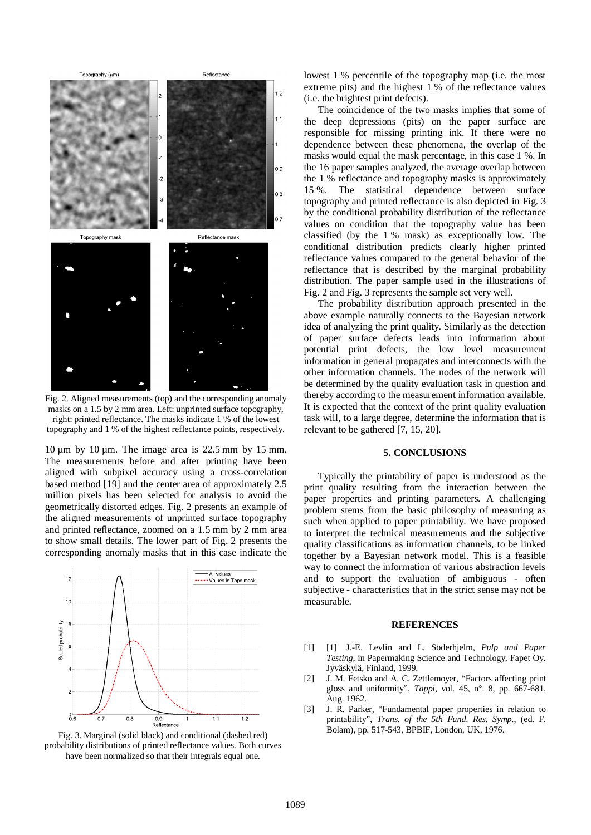

Fig. 2. Aligned measurements (top) and the corresponding anomaly masks on a 1.5 by 2 mm area. Left: unprinted surface topography, right: printed reflectance. The masks indicate 1 % of the lowest topography and 1 % of the highest reflectance points, respectively.

 $10 \mu m$  by  $10 \mu m$ . The image area is  $22.5 \mu m$  by  $15 \mu m$ . The measurements before and after printing have been aligned with subpixel accuracy using a cross-correlation based method [19] and the center area of approximately 2.5 million pixels has been selected for analysis to avoid the geometrically distorted edges. Fig. 2 presents an example of the aligned measurements of unprinted surface topography and printed reflectance, zoomed on a 1.5 mm by 2 mm area to show small details. The lower part of Fig. 2 presents the corresponding anomaly masks that in this case indicate the



Fig. 3. Marginal (solid black) and conditional (dashed red) probability distributions of printed reflectance values. Both curves have been normalized so that their integrals equal one.

lowest 1 % percentile of the topography map (i.e. the most extreme pits) and the highest 1 % of the reflectance values (i.e. the brightest print defects).

The coincidence of the two masks implies that some of the deep depressions (pits) on the paper surface are responsible for missing printing ink. If there were no dependence between these phenomena, the overlap of the masks would equal the mask percentage, in this case 1 %. In the 16 paper samples analyzed, the average overlap between the 1 % reflectance and topography masks is approximately 15 %. The statistical dependence between surface topography and printed reflectance is also depicted in Fig. 3 by the conditional probability distribution of the reflectance values on condition that the topography value has been classified (by the 1 % mask) as exceptionally low. The conditional distribution predicts clearly higher printed reflectance values compared to the general behavior of the reflectance that is described by the marginal probability distribution. The paper sample used in the illustrations of Fig. 2 and Fig. 3 represents the sample set very well.

The probability distribution approach presented in the above example naturally connects to the Bayesian network idea of analyzing the print quality. Similarly as the detection of paper surface defects leads into information about potential print defects, the low level measurement information in general propagates and interconnects with the other information channels. The nodes of the network will be determined by the quality evaluation task in question and thereby according to the measurement information available. It is expected that the context of the print quality evaluation task will, to a large degree, determine the information that is relevant to be gathered [7, 15, 20].

#### **5. CONCLUSIONS**

Typically the printability of paper is understood as the print quality resulting from the interaction between the paper properties and printing parameters. A challenging problem stems from the basic philosophy of measuring as such when applied to paper printability. We have proposed to interpret the technical measurements and the subjective quality classifications as information channels, to be linked together by a Bayesian network model. This is a feasible way to connect the information of various abstraction levels and to support the evaluation of ambiguous - often subjective - characteristics that in the strict sense may not be measurable.

#### **REFERENCES**

- [1] [1] J.-E. Levlin and L. Söderhjelm, *Pulp and Paper Testing*, in Papermaking Science and Technology, Fapet Oy. Jyväskylä, Finland, 1999.
- [2] J. M. Fetsko and A. C. Zettlemoyer, "Factors affecting print gloss and uniformity", *Tappi*, vol. 45, n°. 8, pp. 667-681, Aug. 1962.
- [3] J. R. Parker, "Fundamental paper properties in relation to printability", *Trans. of the 5th Fund. Res. Symp.*, (ed. F. Bolam), pp. 517-543, BPBIF, London, UK, 1976.